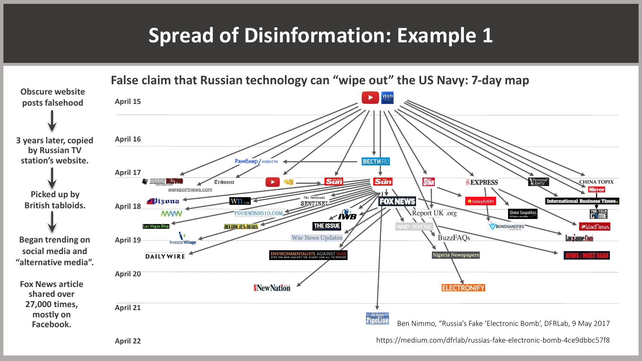## **Spread of Disinformation: Example 1**



**April 22**

https://medium.com/dfrlab/russias-fake-electronic-bomb-4ce9dbbc57f8